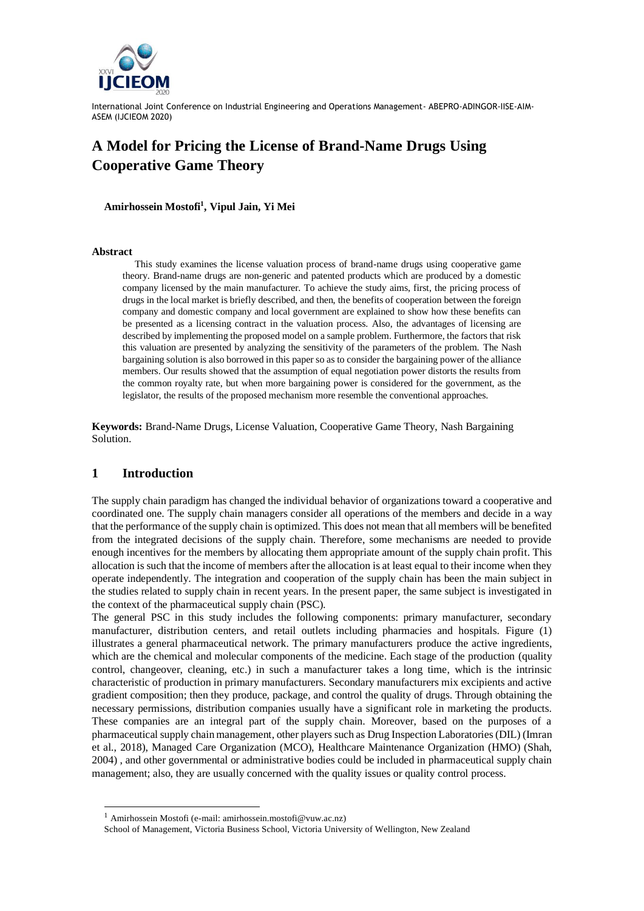

# **A Model for Pricing the License of Brand-Name Drugs Using Cooperative Game Theory**

**Amirhossein Mostofi<sup>1</sup> , Vipul Jain, Yi Mei**

#### **Abstract**

This study examines the license valuation process of brand-name drugs using cooperative game theory. Brand-name drugs are non-generic and patented products which are produced by a domestic company licensed by the main manufacturer. To achieve the study aims, first, the pricing process of drugs in the local market is briefly described, and then, the benefits of cooperation between the foreign company and domestic company and local government are explained to show how these benefits can be presented as a licensing contract in the valuation process. Also, the advantages of licensing are described by implementing the proposed model on a sample problem. Furthermore, the factors that risk this valuation are presented by analyzing the sensitivity of the parameters of the problem. The Nash bargaining solution is also borrowed in this paper so as to consider the bargaining power of the alliance members. Our results showed that the assumption of equal negotiation power distorts the results from the common royalty rate, but when more bargaining power is considered for the government, as the legislator, the results of the proposed mechanism more resemble the conventional approaches.

**Keywords:** Brand-Name Drugs, License Valuation, Cooperative Game Theory, Nash Bargaining Solution.

### **1 Introduction**

The supply chain paradigm has changed the individual behavior of organizations toward a cooperative and coordinated one. The supply chain managers consider all operations of the members and decide in a way that the performance of the supply chain is optimized. This does not mean that all members will be benefited from the integrated decisions of the supply chain. Therefore, some mechanisms are needed to provide enough incentives for the members by allocating them appropriate amount of the supply chain profit. This allocation is such that the income of members after the allocation is at least equal to their income when they operate independently. The integration and cooperation of the supply chain has been the main subject in the studies related to supply chain in recent years. In the present paper, the same subject is investigated in the context of the pharmaceutical supply chain (PSC).

The general PSC in this study includes the following components: primary manufacturer, secondary manufacturer, distribution centers, and retail outlets including pharmacies and hospitals. Figure (1) illustrates a general pharmaceutical network. The primary manufacturers produce the active ingredients, which are the chemical and molecular components of the medicine. Each stage of the production (quality control, changeover, cleaning, etc.) in such a manufacturer takes a long time, which is the intrinsic characteristic of production in primary manufacturers. Secondary manufacturers mix excipients and active gradient composition; then they produce, package, and control the quality of drugs. Through obtaining the necessary permissions, distribution companies usually have a significant role in marketing the products. These companies are an integral part of the supply chain. Moreover, based on the purposes of a pharmaceutical supply chain management, other players such as Drug Inspection Laboratories (DIL) (Imran et al., 2018), Managed Care Organization (MCO), Healthcare Maintenance Organization (HMO) (Shah, 2004) , and other governmental or administrative bodies could be included in pharmaceutical supply chain management; also, they are usually concerned with the quality issues or quality control process.

<sup>1</sup> Amirhossein Mostofi (e-mail: [amirhossein.mostofi@vuw.ac.nz\)](mailto:amirhossein.mostofi@vuw.ac.nz)

School of Management, Victoria Business School, Victoria University of Wellington, New Zealand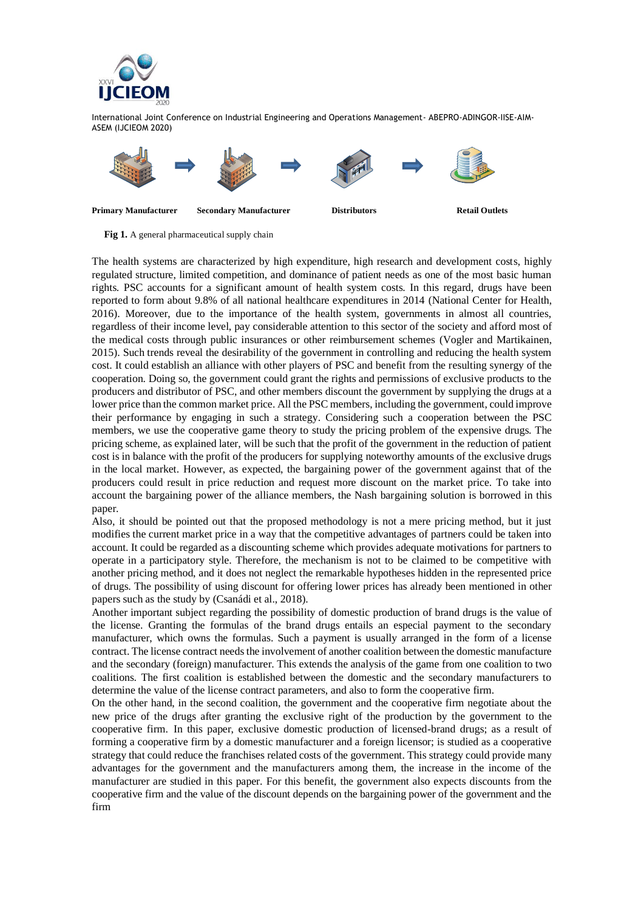



**Fig 1.** A general pharmaceutical supply chain

The health systems are characterized by high expenditure, high research and development costs, highly regulated structure, limited competition, and dominance of patient needs as one of the most basic human rights. PSC accounts for a significant amount of health system costs. In this regard, drugs have been reported to form about 9.8% of all national healthcare expenditures in 2014 (National Center for Health, 2016). Moreover, due to the importance of the health system, governments in almost all countries, regardless of their income level, pay considerable attention to this sector of the society and afford most of the medical costs through public insurances or other reimbursement schemes (Vogler and Martikainen, 2015). Such trends reveal the desirability of the government in controlling and reducing the health system cost. It could establish an alliance with other players of PSC and benefit from the resulting synergy of the cooperation. Doing so, the government could grant the rights and permissions of exclusive products to the producers and distributor of PSC, and other members discount the government by supplying the drugs at a lower price than the common market price. All the PSC members, including the government, could improve their performance by engaging in such a strategy. Considering such a cooperation between the PSC members, we use the cooperative game theory to study the pricing problem of the expensive drugs. The pricing scheme, as explained later, will be such that the profit of the government in the reduction of patient cost is in balance with the profit of the producers for supplying noteworthy amounts of the exclusive drugs in the local market. However, as expected, the bargaining power of the government against that of the producers could result in price reduction and request more discount on the market price. To take into account the bargaining power of the alliance members, the Nash bargaining solution is borrowed in this paper.

Also, it should be pointed out that the proposed methodology is not a mere pricing method, but it just modifies the current market price in a way that the competitive advantages of partners could be taken into account. It could be regarded as a discounting scheme which provides adequate motivations for partners to operate in a participatory style. Therefore, the mechanism is not to be claimed to be competitive with another pricing method, and it does not neglect the remarkable hypotheses hidden in the represented price of drugs. The possibility of using discount for offering lower prices has already been mentioned in other papers such as the study by (Csanádi et al., 2018).

Another important subject regarding the possibility of domestic production of brand drugs is the value of the license. Granting the formulas of the brand drugs entails an especial payment to the secondary manufacturer, which owns the formulas. Such a payment is usually arranged in the form of a license contract. The license contract needs the involvement of another coalition between the domestic manufacture and the secondary (foreign) manufacturer. This extends the analysis of the game from one coalition to two coalitions. The first coalition is established between the domestic and the secondary manufacturers to determine the value of the license contract parameters, and also to form the cooperative firm.

On the other hand, in the second coalition, the government and the cooperative firm negotiate about the new price of the drugs after granting the exclusive right of the production by the government to the cooperative firm. In this paper, exclusive domestic production of licensed-brand drugs; as a result of forming a cooperative firm by a domestic manufacturer and a foreign licensor; is studied as a cooperative strategy that could reduce the franchises related costs of the government. This strategy could provide many advantages for the government and the manufacturers among them, the increase in the income of the manufacturer are studied in this paper. For this benefit, the government also expects discounts from the cooperative firm and the value of the discount depends on the bargaining power of the government and the firm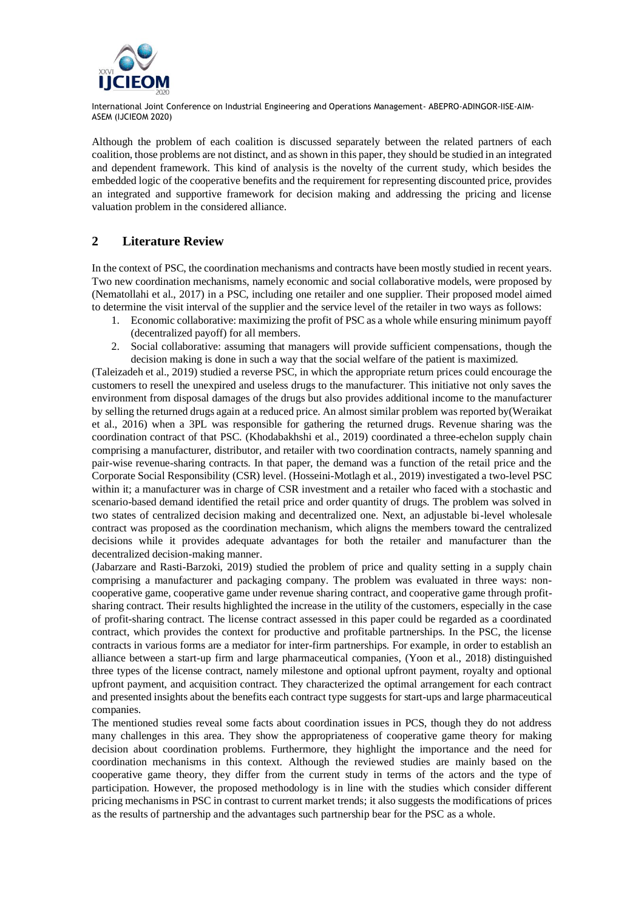

Although the problem of each coalition is discussed separately between the related partners of each coalition, those problems are not distinct, and as shown in this paper, they should be studied in an integrated and dependent framework. This kind of analysis is the novelty of the current study, which besides the embedded logic of the cooperative benefits and the requirement for representing discounted price, provides an integrated and supportive framework for decision making and addressing the pricing and license valuation problem in the considered alliance.

# **2 Literature Review**

In the context of PSC, the coordination mechanisms and contracts have been mostly studied in recent years. Two new coordination mechanisms, namely economic and social collaborative models, were proposed by (Nematollahi et al., 2017) in a PSC, including one retailer and one supplier. Their proposed model aimed to determine the visit interval of the supplier and the service level of the retailer in two ways as follows:

- 1. Economic collaborative: maximizing the profit of PSC as a whole while ensuring minimum payoff (decentralized payoff) for all members.
- 2. Social collaborative: assuming that managers will provide sufficient compensations, though the decision making is done in such a way that the social welfare of the patient is maximized.

(Taleizadeh et al., 2019) studied a reverse PSC, in which the appropriate return prices could encourage the customers to resell the unexpired and useless drugs to the manufacturer. This initiative not only saves the environment from disposal damages of the drugs but also provides additional income to the manufacturer by selling the returned drugs again at a reduced price. An almost similar problem was reported by(Weraikat et al., 2016) when a 3PL was responsible for gathering the returned drugs. Revenue sharing was the coordination contract of that PSC. (Khodabakhshi et al., 2019) coordinated a three-echelon supply chain comprising a manufacturer, distributor, and retailer with two coordination contracts, namely spanning and pair-wise revenue-sharing contracts. In that paper, the demand was a function of the retail price and the Corporate Social Responsibility (CSR) level. (Hosseini-Motlagh et al., 2019) investigated a two-level PSC within it; a manufacturer was in charge of CSR investment and a retailer who faced with a stochastic and scenario-based demand identified the retail price and order quantity of drugs. The problem was solved in two states of centralized decision making and decentralized one. Next, an adjustable bi-level wholesale contract was proposed as the coordination mechanism, which aligns the members toward the centralized decisions while it provides adequate advantages for both the retailer and manufacturer than the decentralized decision-making manner.

(Jabarzare and Rasti-Barzoki, 2019) studied the problem of price and quality setting in a supply chain comprising a manufacturer and packaging company. The problem was evaluated in three ways: noncooperative game, cooperative game under revenue sharing contract, and cooperative game through profitsharing contract. Their results highlighted the increase in the utility of the customers, especially in the case of profit-sharing contract. The license contract assessed in this paper could be regarded as a coordinated contract, which provides the context for productive and profitable partnerships. In the PSC, the license contracts in various forms are a mediator for inter-firm partnerships. For example, in order to establish an alliance between a start-up firm and large pharmaceutical companies, (Yoon et al., 2018) distinguished three types of the license contract, namely milestone and optional upfront payment, royalty and optional upfront payment, and acquisition contract. They characterized the optimal arrangement for each contract and presented insights about the benefits each contract type suggests for start-ups and large pharmaceutical companies.

The mentioned studies reveal some facts about coordination issues in PCS, though they do not address many challenges in this area. They show the appropriateness of cooperative game theory for making decision about coordination problems. Furthermore, they highlight the importance and the need for coordination mechanisms in this context. Although the reviewed studies are mainly based on the cooperative game theory, they differ from the current study in terms of the actors and the type of participation. However, the proposed methodology is in line with the studies which consider different pricing mechanisms in PSC in contrast to current market trends; it also suggests the modifications of prices as the results of partnership and the advantages such partnership bear for the PSC as a whole.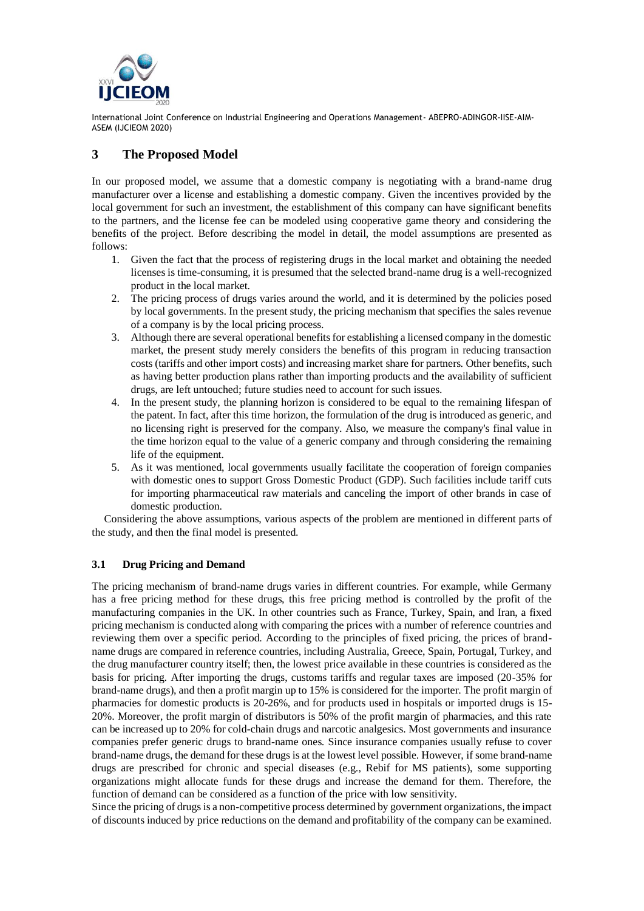

# **3 The Proposed Model**

In our proposed model, we assume that a domestic company is negotiating with a brand-name drug manufacturer over a license and establishing a domestic company. Given the incentives provided by the local government for such an investment, the establishment of this company can have significant benefits to the partners, and the license fee can be modeled using cooperative game theory and considering the benefits of the project. Before describing the model in detail, the model assumptions are presented as follows:

- 1. Given the fact that the process of registering drugs in the local market and obtaining the needed licenses is time-consuming, it is presumed that the selected brand-name drug is a well-recognized product in the local market.
- 2. The pricing process of drugs varies around the world, and it is determined by the policies posed by local governments. In the present study, the pricing mechanism that specifies the sales revenue of a company is by the local pricing process.
- 3. Although there are several operational benefits for establishing a licensed company in the domestic market, the present study merely considers the benefits of this program in reducing transaction costs (tariffs and other import costs) and increasing market share for partners. Other benefits, such as having better production plans rather than importing products and the availability of sufficient drugs, are left untouched; future studies need to account for such issues.
- 4. In the present study, the planning horizon is considered to be equal to the remaining lifespan of the patent. In fact, after this time horizon, the formulation of the drug is introduced as generic, and no licensing right is preserved for the company. Also, we measure the company's final value in the time horizon equal to the value of a generic company and through considering the remaining life of the equipment.
- 5. As it was mentioned, local governments usually facilitate the cooperation of foreign companies with domestic ones to support Gross Domestic Product (GDP). Such facilities include tariff cuts for importing pharmaceutical raw materials and canceling the import of other brands in case of domestic production.

Considering the above assumptions, various aspects of the problem are mentioned in different parts of the study, and then the final model is presented.

## **3.1 Drug Pricing and Demand**

The pricing mechanism of brand-name drugs varies in different countries. For example, while Germany has a free pricing method for these drugs, this free pricing method is controlled by the profit of the manufacturing companies in the UK. In other countries such as France, Turkey, Spain, and Iran, a fixed pricing mechanism is conducted along with comparing the prices with a number of reference countries and reviewing them over a specific period. According to the principles of fixed pricing, the prices of brandname drugs are compared in reference countries, including Australia, Greece, Spain, Portugal, Turkey, and the drug manufacturer country itself; then, the lowest price available in these countries is considered as the basis for pricing. After importing the drugs, customs tariffs and regular taxes are imposed (20-35% for brand-name drugs), and then a profit margin up to 15% is considered for the importer. The profit margin of pharmacies for domestic products is 20-26%, and for products used in hospitals or imported drugs is 15- 20%. Moreover, the profit margin of distributors is 50% of the profit margin of pharmacies, and this rate can be increased up to 20% for cold-chain drugs and narcotic analgesics. Most governments and insurance companies prefer generic drugs to brand-name ones. Since insurance companies usually refuse to cover brand-name drugs, the demand for these drugs is at the lowest level possible. However, if some brand-name drugs are prescribed for chronic and special diseases (e.g., Rebif for MS patients), some supporting organizations might allocate funds for these drugs and increase the demand for them. Therefore, the function of demand can be considered as a function of the price with low sensitivity.

Since the pricing of drugs is a non-competitive process determined by government organizations, the impact of discounts induced by price reductions on the demand and profitability of the company can be examined.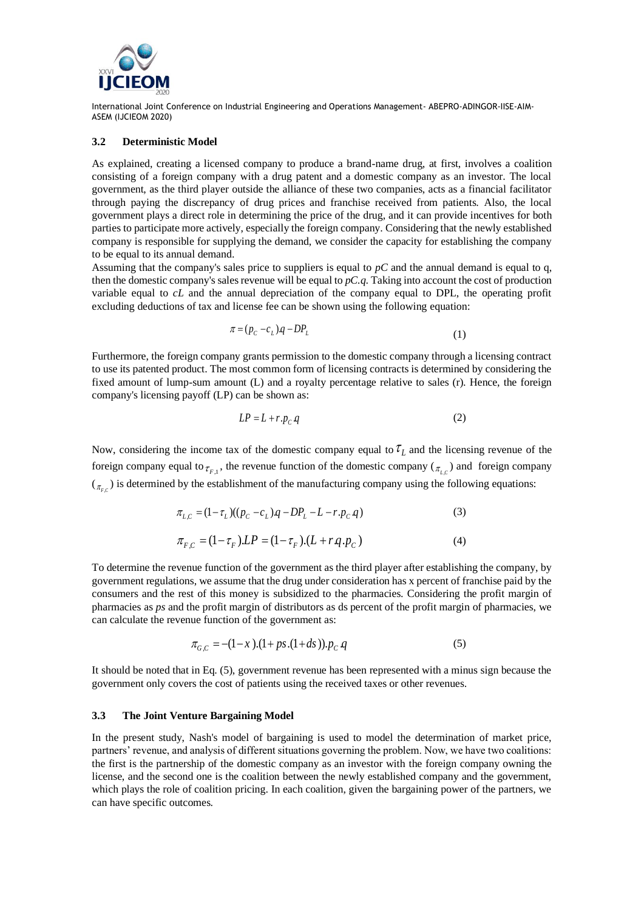

#### **3.2 Deterministic Model**

As explained, creating a licensed company to produce a brand-name drug, at first, involves a coalition consisting of a foreign company with a drug patent and a domestic company as an investor. The local government, as the third player outside the alliance of these two companies, acts as a financial facilitator through paying the discrepancy of drug prices and franchise received from patients. Also, the local government plays a direct role in determining the price of the drug, and it can provide incentives for both parties to participate more actively, especially the foreign company. Considering that the newly established company is responsible for supplying the demand, we consider the capacity for establishing the company to be equal to its annual demand.

Assuming that the company's sales price to suppliers is equal to  $pC$  and the annual demand is equal to q, then the domestic company's sales revenue will be equal to *pC.q*. Taking into account the cost of production variable equal to *cL* and the annual depreciation of the company equal to DPL, the operating profit excluding deductions of tax and license fee can be shown using the following equation:

$$
\pi = (p_c - c_L)q - DP_L \tag{1}
$$

Furthermore, the foreign company grants permission to the domestic company through a licensing contract to use its patented product. The most common form of licensing contracts is determined by considering the fixed amount of lump-sum amount (L) and a royalty percentage relative to sales (r). Hence, the foreign company's licensing payoff (LP) can be shown as:

$$
LP = L + r \cdot p_C q \tag{2}
$$

Now, considering the income tax of the domestic company equal to  $\tau_L$  and the licensing revenue of the foreign company equal to  $\tau_{F,1}$ , the revenue function of the domestic company ( $\tau_{L,C}$ ) and foreign company  $(\tau_{F_C})$  is determined by the establishment of the manufacturing company using the following equations:

$$
\pi_{L,C} = (1 - \tau_L)((p_C - c_L)q - DP_L - L - r.p_C q)
$$
\n(3)

$$
\pi_{F,C} = (1 - \tau_F) \cdot LP = (1 - \tau_F) \cdot (L + r \cdot q \cdot p_C) \tag{4}
$$

To determine the revenue function of the government as the third player after establishing the company, by government regulations, we assume that the drug under consideration has x percent of franchise paid by the consumers and the rest of this money is subsidized to the pharmacies. Considering the profit margin of pharmacies as *ps* and the profit margin of distributors as ds percent of the profit margin of pharmacies, we can calculate the revenue function of the government as:

$$
\pi_{G,C} = -(1-x)(1+ps(1+ds)) \cdot p_C q \tag{5}
$$

It should be noted that in Eq. (5), government revenue has been represented with a minus sign because the government only covers the cost of patients using the received taxes or other revenues.

#### **3.3 The Joint Venture Bargaining Model**

In the present study, Nash's model of bargaining is used to model the determination of market price, partners' revenue, and analysis of different situations governing the problem. Now, we have two coalitions: the first is the partnership of the domestic company as an investor with the foreign company owning the license, and the second one is the coalition between the newly established company and the government, which plays the role of coalition pricing. In each coalition, given the bargaining power of the partners, we can have specific outcomes.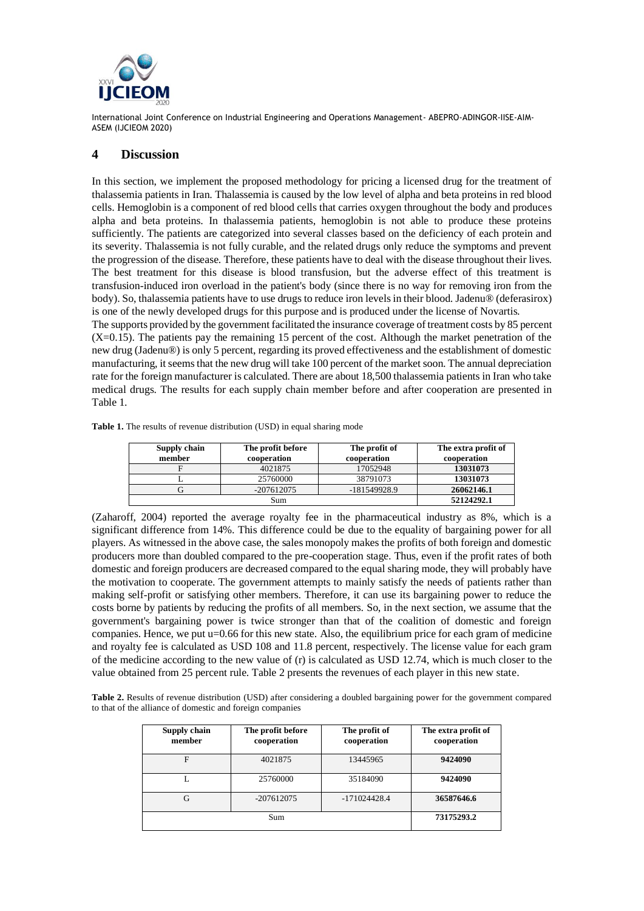

## **4 Discussion**

In this section, we implement the proposed methodology for pricing a licensed drug for the treatment of thalassemia patients in Iran. Thalassemia is caused by the low level of alpha and beta proteins in red blood cells. Hemoglobin is a component of red blood cells that carries oxygen throughout the body and produces alpha and beta proteins. In thalassemia patients, hemoglobin is not able to produce these proteins sufficiently. The patients are categorized into several classes based on the deficiency of each protein and its severity. Thalassemia is not fully curable, and the related drugs only reduce the symptoms and prevent the progression of the disease. Therefore, these patients have to deal with the disease throughout their lives. The best treatment for this disease is blood transfusion, but the adverse effect of this treatment is transfusion-induced iron overload in the patient's body (since there is no way for removing iron from the body). So, thalassemia patients have to use drugs to reduce iron levels in their blood. Jadenu® (deferasirox) is one of the newly developed drugs for this purpose and is produced under the license of Novartis.

The supports provided by the government facilitated the insurance coverage of treatment costs by 85 percent  $(X=0.15)$ . The patients pay the remaining 15 percent of the cost. Although the market penetration of the new drug (Jadenu®) is only 5 percent, regarding its proved effectiveness and the establishment of domestic manufacturing, it seems that the new drug will take 100 percent of the market soon. The annual depreciation rate for the foreign manufacturer is calculated. There are about 18,500 thalassemia patients in Iran who take medical drugs. The results for each supply chain member before and after cooperation are presented in Table 1.

| Supply chain<br>member | The profit before<br>cooperation | The profit of<br>cooperation | The extra profit of<br>cooperation |
|------------------------|----------------------------------|------------------------------|------------------------------------|
|                        | 4021875                          | 17052948                     | 13031073                           |
|                        | 25760000                         | 38791073                     | 13031073                           |
|                        | $-207612075$                     | $-181549928.9$               | 26062146.1                         |
| Sum                    |                                  |                              | 52124292.1                         |

**Table 1.** The results of revenue distribution (USD) in equal sharing mode

(Zaharoff, 2004) reported the average royalty fee in the pharmaceutical industry as 8%, which is a significant difference from 14%. This difference could be due to the equality of bargaining power for all players. As witnessed in the above case, the sales monopoly makes the profits of both foreign and domestic producers more than doubled compared to the pre-cooperation stage. Thus, even if the profit rates of both domestic and foreign producers are decreased compared to the equal sharing mode, they will probably have the motivation to cooperate. The government attempts to mainly satisfy the needs of patients rather than making self-profit or satisfying other members. Therefore, it can use its bargaining power to reduce the costs borne by patients by reducing the profits of all members. So, in the next section, we assume that the government's bargaining power is twice stronger than that of the coalition of domestic and foreign companies. Hence, we put u=0.66 for this new state. Also, the equilibrium price for each gram of medicine and royalty fee is calculated as USD 108 and 11.8 percent, respectively. The license value for each gram of the medicine according to the new value of (r) is calculated as USD 12.74, which is much closer to the value obtained from 25 percent rule. Table 2 presents the revenues of each player in this new state.

**Table 2.** Results of revenue distribution (USD) after considering a doubled bargaining power for the government compared to that of the alliance of domestic and foreign companies

| Supply chain<br>member | The profit before<br>cooperation | The profit of<br>cooperation | The extra profit of<br>cooperation |
|------------------------|----------------------------------|------------------------------|------------------------------------|
| F                      | 4021875                          | 13445965                     | 9424090                            |
|                        | 25760000                         | 35184090                     | 9424090                            |
| G                      | $-207612075$                     | $-171024428.4$               | 36587646.6                         |
|                        | Sum                              |                              | 73175293.2                         |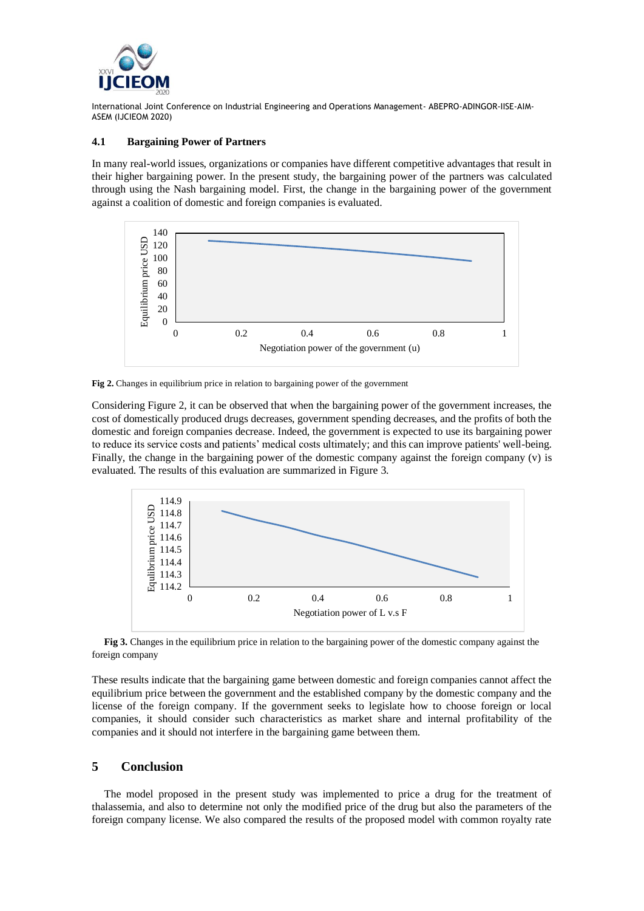

#### **4.1 Bargaining Power of Partners**

In many real-world issues, organizations or companies have different competitive advantages that result in their higher bargaining power. In the present study, the bargaining power of the partners was calculated through using the Nash bargaining model. First, the change in the bargaining power of the government against a coalition of domestic and foreign companies is evaluated.



**Fig 2.** Changes in equilibrium price in relation to bargaining power of the government

Considering Figure 2, it can be observed that when the bargaining power of the government increases, the cost of domestically produced drugs decreases, government spending decreases, and the profits of both the domestic and foreign companies decrease. Indeed, the government is expected to use its bargaining power to reduce its service costs and patients' medical costs ultimately; and this can improve patients' well-being. Finally, the change in the bargaining power of the domestic company against the foreign company (v) is evaluated. The results of this evaluation are summarized in Figure 3.



**Fig 3.** Changes in the equilibrium price in relation to the bargaining power of the domestic company against the foreign company

These results indicate that the bargaining game between domestic and foreign companies cannot affect the equilibrium price between the government and the established company by the domestic company and the license of the foreign company. If the government seeks to legislate how to choose foreign or local companies, it should consider such characteristics as market share and internal profitability of the companies and it should not interfere in the bargaining game between them.

## **5 Conclusion**

The model proposed in the present study was implemented to price a drug for the treatment of thalassemia, and also to determine not only the modified price of the drug but also the parameters of the foreign company license. We also compared the results of the proposed model with common royalty rate